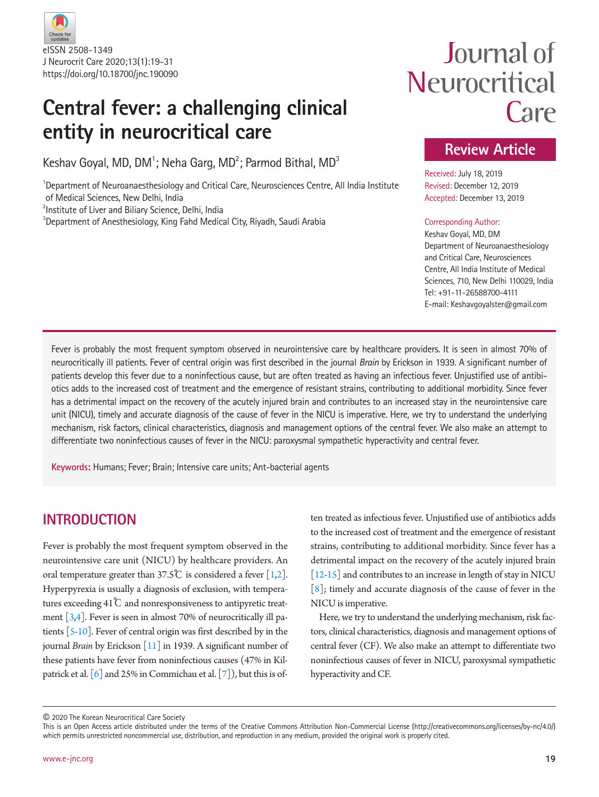

## **Central fever: a challenging clinical entity in neurocritical care**

Keshav Goyal, MD, DM<sup>1</sup>; Neha Garg, MD<sup>2</sup>; Parmod Bithal, MD<sup>3</sup>

<sup>1</sup>Department of Neuroanaesthesiology and Critical Care, Neurosciences Centre, All India Institute of Medical Sciences, New Delhi, India

<sup>2</sup>Institute of Liver and Biliary Science, Delhi, India

 ${}^{3}$ Department of Anesthesiology, King Fahd Medical City, Riyadh, Saudi Arabia

# Journal of Neurocritical Care

### **Review Article**

Received: July 18, 2019 Revised: December 12, 2019 Accepted: December 13, 2019

#### Corresponding Author:

Keshav Goyal, MD, DM Department of Neuroanaesthesiology and Critical Care, Neurosciences Centre, All India Institute of Medical Sciences, 710, New Delhi 110029, India Tel: +91-11-26588700-4111 E-mail: Keshavgoyalster@gmail.com

Fever is probably the most frequent symptom observed in neurointensive care by healthcare providers. It is seen in almost 70% of neurocritically ill patients. Fever of central origin was first described in the journal *Brain* by Erickson in 1939. A significant number of patients develop this fever due to a noninfectious cause, but are often treated as having an infectious fever. Unjustified use of antibiotics adds to the increased cost of treatment and the emergence of resistant strains, contributing to additional morbidity. Since fever has a detrimental impact on the recovery of the acutely injured brain and contributes to an increased stay in the neurointensive care unit (NICU), timely and accurate diagnosis of the cause of fever in the NICU is imperative. Here, we try to understand the underlying mechanism, risk factors, clinical characteristics, diagnosis and management options of the central fever. We also make an attempt to differentiate two noninfectious causes of fever in the NICU: paroxysmal sympathetic hyperactivity and central fever.

**Keywords:** Humans; Fever; Brain; Intensive care units; Ant-bacterial agents

### **INTRODUCTION**

Fever is probably the most frequent symptom observed in the neurointensive care unit (NICU) by healthcare providers. An oral temperature greater than 37.5°C is considered a fever  $[1,2]$  $[1,2]$  $[1,2]$ . Hyperpyrexia is usually a diagnosis of exclusion, with temperatures exceeding 41℃ and nonresponsiveness to antipyretic treatment  $\left[3,4\right]$  $\left[3,4\right]$  $\left[3,4\right]$ . Fever is seen in almost 70% of neurocritically ill patients [\[5](#page-8-4)[-10\]](#page-8-5). Fever of central origin was first described by in the journal *Brain* by Erickson [\[11\]](#page-8-6) in 1939. A significant number of these patients have fever from noninfectious causes (47% in Kilpatrick et al.  $\lceil 6 \rceil$  and 25% in Commichau et al.  $\lceil 7 \rceil$ ), but this is of-

ten treated as infectious fever. Unjustified use of antibiotics adds to the increased cost of treatment and the emergence of resistant strains, contributing to additional morbidity. Since fever has a detrimental impact on the recovery of the acutely injured brain [\[12](#page-8-7)[-15](#page-8-6)] and contributes to an increase in length of stay in NICU  $[8]$  $[8]$ ; timely and accurate diagnosis of the cause of fever in the NICU is imperative.

Here, we try to understand the underlying mechanism, risk factors, clinical characteristics, diagnosis and management options of central fever (CF). We also make an attempt to differentiate two noninfectious causes of fever in NICU, paroxysmal sympathetic hyperactivity and CF.

<sup>©</sup> 2020 The Korean Neurocritical Care Society

This is an Open Access article distributed under the terms of the Creative Commons Attribution Non-Commercial License (http://creativecommons.org/licenses/by-nc/4.0/) which permits unrestricted noncommercial use, distribution, and reproduction in any medium, provided the original work is properly cited.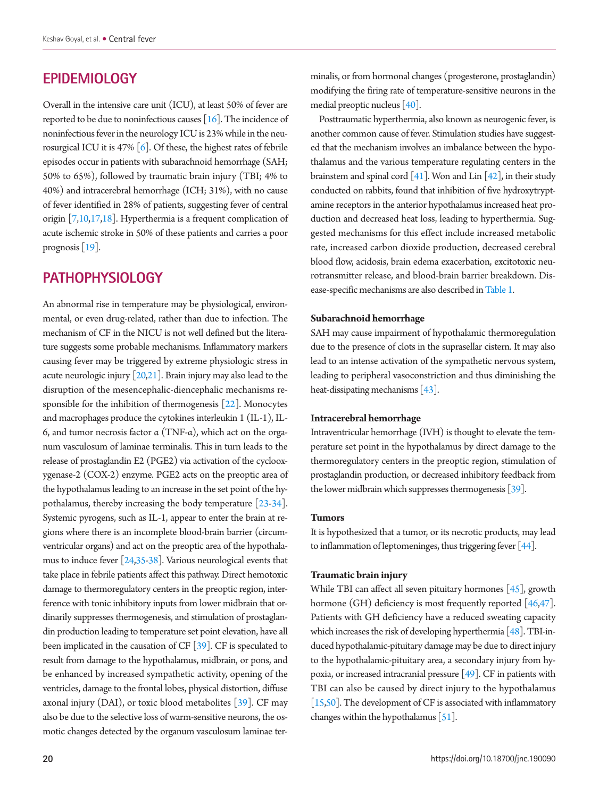### **EPIDEMIOLOGY**

Overall in the intensive care unit (ICU), at least 50% of fever are reported to be due to noninfectious causes [\[16](#page-8-8)]. The incidence of noninfectious fever in the neurology ICU is 23% while in the neurosurgical ICU it is 47%  $\lceil 6 \rceil$ . Of these, the highest rates of febrile episodes occur in patients with subarachnoid hemorrhage (SAH; 50% to 65%), followed by traumatic brain injury (TBI; 4% to 40%) and intracerebral hemorrhage (ICH; 31%), with no cause of fever identified in 28% of patients, suggesting fever of central origin [[7](#page-8-9)[,10](#page-8-10)[,17,18](#page-8-11)]. Hyperthermia is a frequent complication of acute ischemic stroke in 50% of these patients and carries a poor prognosis [\[19](#page-9-0)].

### **PATHOPHYSIOLOGY**

An abnormal rise in temperature may be physiological, environmental, or even drug-related, rather than due to infection. The mechanism of CF in the NICU is not well defined but the literature suggests some probable mechanisms. Inflammatory markers causing fever may be triggered by extreme physiologic stress in acute neurologic injury [\[20](#page-9-1)[,21](#page-8-11)]. Brain injury may also lead to the disruption of the mesencephalic-diencephalic mechanisms responsible for the inhibition of thermogenesis [\[22\]](#page-9-0). Monocytes and macrophages produce the cytokines interleukin 1 (IL-1), IL-6, and tumor necrosis factor α (TNF-α), which act on the organum vasculosum of laminae terminalis. This in turn leads to the release of prostaglandin E2 (PGE2) via activation of the cyclooxygenase-2 (COX-2) enzyme. PGE2 acts on the preoptic area of the hypothalamus leading to an increase in the set point of the hypothalamus, thereby increasing the body temperature [\[23](#page-9-2)[-34](#page-9-3)]. Systemic pyrogens, such as IL-1, appear to enter the brain at regions where there is an incomplete blood-brain barrier (circumventricular organs) and act on the preoptic area of the hypothalamus to induce fever [\[24](#page-9-4)[,35](#page-9-5)[-38](#page-9-6)]. Various neurological events that take place in febrile patients affect this pathway. Direct hemotoxic damage to thermoregulatory centers in the preoptic region, interference with tonic inhibitory inputs from lower midbrain that ordinarily suppresses thermogenesis, and stimulation of prostaglandin production leading to temperature set point elevation, have all been implicated in the causation of CF [\[39](#page-9-7)]. CF is speculated to result from damage to the hypothalamus, midbrain, or pons, and be enhanced by increased sympathetic activity, opening of the ventricles, damage to the frontal lobes, physical distortion, diffuse axonal injury (DAI), or toxic blood metabolites [\[39](#page-9-7)]. CF may also be due to the selective loss of warm-sensitive neurons, the osmotic changes detected by the organum vasculosum laminae terminalis, or from hormonal changes (progesterone, prostaglandin) modifying the firing rate of temperature-sensitive neurons in the medial preoptic nucleus [\[40](#page-9-8)].

Posttraumatic hyperthermia, also known as neurogenic fever, is another common cause of fever. Stimulation studies have suggested that the mechanism involves an imbalance between the hypothalamus and the various temperature regulating centers in the brainstem and spinal cord  $\lceil 41 \rceil$ . Won and Lin  $\lceil 42 \rceil$ , in their study conducted on rabbits, found that inhibition of five hydroxytryptamine receptors in the anterior hypothalamus increased heat production and decreased heat loss, leading to hyperthermia. Suggested mechanisms for this effect include increased metabolic rate, increased carbon dioxide production, decreased cerebral blood flow, acidosis, brain edema exacerbation, excitotoxic neurotransmitter release, and blood-brain barrier breakdown. Disease-specific mechanisms are also described in[Table 1.](#page-2-0)

#### **Subarachnoid hemorrhage**

SAH may cause impairment of hypothalamic thermoregulation due to the presence of clots in the suprasellar cistern. It may also lead to an intense activation of the sympathetic nervous system, leading to peripheral vasoconstriction and thus diminishing the heat-dissipating mechanisms [\[43](#page-9-11)].

#### **Intracerebral hemorrhage**

Intraventricular hemorrhage (IVH) is thought to elevate the temperature set point in the hypothalamus by direct damage to the thermoregulatory centers in the preoptic region, stimulation of prostaglandin production, or decreased inhibitory feedback from the lower midbrain which suppresses thermogenesis  $\lceil 39 \rceil$ .

#### **Tumors**

It is hypothesized that a tumor, or its necrotic products, may lead to inflammation of leptomeninges, thus triggering fever [\[44](#page-9-12)].

#### **Traumatic brain injury**

While TBI can affect all seven pituitary hormones [\[45\]](#page-9-13), growth hormone (GH) deficiency is most frequently reported  $[46,47]$  $[46,47]$ . Patients with GH deficiency have a reduced sweating capacity which increases the risk of developing hyperthermia [\[48\]](#page-9-16). TBI-induced hypothalamic-pituitary damage may be due to direct injury to the hypothalamic-pituitary area, a secondary injury from hypoxia, or increased intracranial pressure [\[49](#page-9-17)]. CF in patients with TBI can also be caused by direct injury to the hypothalamus [\[15](#page-8-12)[,50\]](#page-9-16). The development of CF is associated with inflammatory changes within the hypothalamus [\[51\]](#page-10-0).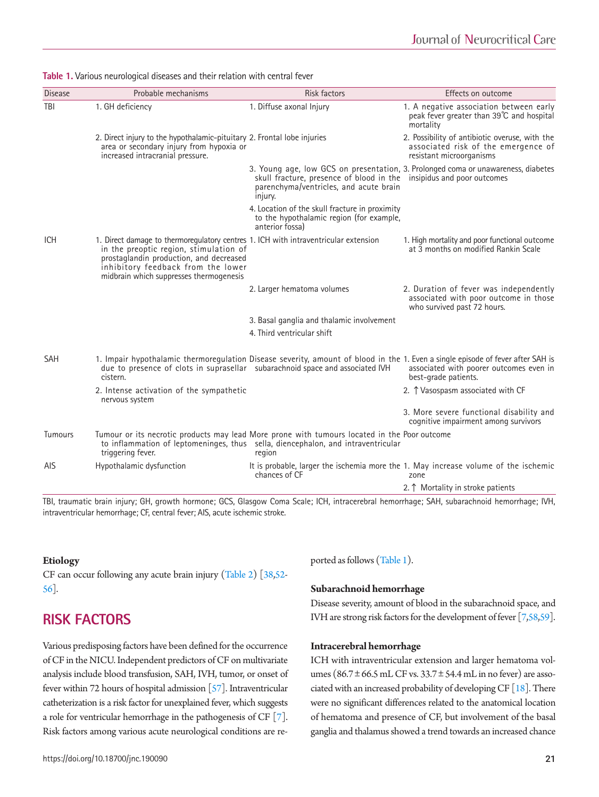<span id="page-2-0"></span>

| Table 1. Various neurological diseases and their relation with central fever |  |
|------------------------------------------------------------------------------|--|
|------------------------------------------------------------------------------|--|

| <b>Disease</b> | Probable mechanisms                                                                                                                                                                                                                                       | <b>Risk factors</b>                                                                                                       | Effects on outcome                                                                                                                                                                                 |
|----------------|-----------------------------------------------------------------------------------------------------------------------------------------------------------------------------------------------------------------------------------------------------------|---------------------------------------------------------------------------------------------------------------------------|----------------------------------------------------------------------------------------------------------------------------------------------------------------------------------------------------|
| TBI            | 1. GH deficiency                                                                                                                                                                                                                                          | 1. Diffuse axonal Injury                                                                                                  | 1. A negative association between early<br>peak fever greater than 39°C and hospital<br>mortality                                                                                                  |
|                | 2. Direct injury to the hypothalamic-pituitary 2. Frontal lobe injuries<br>area or secondary injury from hypoxia or<br>increased intracranial pressure.                                                                                                   |                                                                                                                           | 2. Possibility of antibiotic overuse, with the<br>associated risk of the emergence of<br>resistant microorganisms                                                                                  |
|                |                                                                                                                                                                                                                                                           | skull fracture, presence of blood in the insipidus and poor outcomes<br>parenchyma/ventricles, and acute brain<br>injury. | 3. Young age, low GCS on presentation, 3. Prolonged coma or unawareness, diabetes                                                                                                                  |
|                |                                                                                                                                                                                                                                                           | 4. Location of the skull fracture in proximity<br>to the hypothalamic region (for example,<br>anterior fossal             |                                                                                                                                                                                                    |
| <b>ICH</b>     | 1. Direct damage to thermoregulatory centres 1. ICH with intraventricular extension<br>in the preoptic region, stimulation of<br>prostaglandin production, and decreased<br>inhibitory feedback from the lower<br>midbrain which suppresses thermogenesis |                                                                                                                           | 1. High mortality and poor functional outcome<br>at 3 months on modified Rankin Scale                                                                                                              |
|                |                                                                                                                                                                                                                                                           | 2. Larger hematoma volumes                                                                                                | 2. Duration of fever was independently<br>associated with poor outcome in those<br>who survived past 72 hours.                                                                                     |
|                |                                                                                                                                                                                                                                                           | 3. Basal ganglia and thalamic involvement                                                                                 |                                                                                                                                                                                                    |
|                |                                                                                                                                                                                                                                                           | 4. Third ventricular shift                                                                                                |                                                                                                                                                                                                    |
| <b>SAH</b>     | due to presence of clots in suprasellar subarachnoid space and associated IVH<br>cistern.                                                                                                                                                                 |                                                                                                                           | 1. Impair hypothalamic thermoregulation Disease severity, amount of blood in the 1. Even a single episode of fever after SAH is<br>associated with poorer outcomes even in<br>best-grade patients. |
|                | 2. Intense activation of the sympathetic<br>nervous system                                                                                                                                                                                                |                                                                                                                           | 2. T Vasospasm associated with CF                                                                                                                                                                  |
|                |                                                                                                                                                                                                                                                           |                                                                                                                           | 3. More severe functional disability and<br>cognitive impairment among survivors                                                                                                                   |
| <b>Tumours</b> | Tumour or its necrotic products may lead More prone with tumours located in the Poor outcome<br>triggering fever.                                                                                                                                         | to inflammation of leptomeninges, thus sella, diencephalon, and intraventricular<br>region                                |                                                                                                                                                                                                    |
| <b>AIS</b>     | Hypothalamic dysfunction                                                                                                                                                                                                                                  | chances of CF                                                                                                             | It is probable, larger the ischemia more the 1. May increase volume of the ischemic<br>zone                                                                                                        |
|                |                                                                                                                                                                                                                                                           |                                                                                                                           | 2.↑ Mortality in stroke patients                                                                                                                                                                   |

TBI, traumatic brain injury; GH, growth hormone; GCS, Glasgow Coma Scale; ICH, intracerebral hemorrhage; SAH, subarachnoid hemorrhage; IVH, intraventricular hemorrhage; CF, central fever; AIS, acute ischemic stroke.

#### **Etiology**

CF can occur following any acute brain injury [\(T](#page-3-0)able 2) [38,[52](#page-9-16)[-](#page-10-1) [56](#page-10-1)].

### **RISK FACTORS**

Various predisposing factors have been defined for the occurrence of CF in the NICU. Independent predictors of CF on multivariate analysis include blood transfusion, SAH, IVH, tumor, or onset of fever within 72 hours of hospital admission [[57](#page-10-2)]. Intraventricular catheterization is a risk factor for unexplained fever, which suggests a role for ventricular hemorrhage in the pathogenesis of CF [\[7](#page-8-9)]. Risk factors among various acute neurological conditions are reported as follows [\(Table 1](#page-2-0)).

#### **Subarachnoid hemorrhage**

Disease severity, amount of blood in the subarachnoid space, and IVH are strong risk factors for the development of fever [[7](#page-8-9)[,58](#page-10-3)[,59\]](#page-10-4).

#### **Intracerebral hemorrhage**

ICH with intraventricular extension and larger hematoma volumes ( $86.7 \pm 66.5$  mL CF vs.  $33.7 \pm 54.4$  mL in no fever) are associated with an increased probability of developing CF  $[18]$  $[18]$  $[18]$ . There were no significant differences related to the anatomical location of hematoma and presence of CF, but involvement of the basal ganglia and thalamus showed a trend towards an increased chance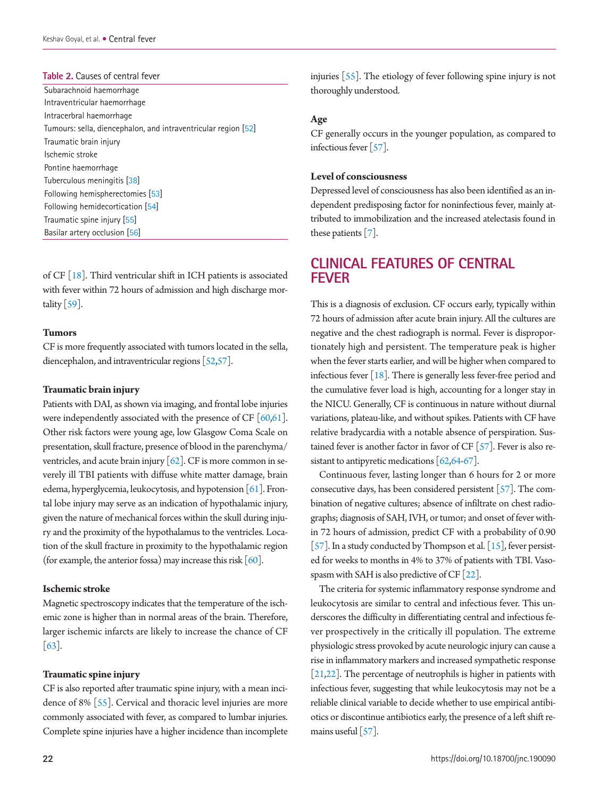#### <span id="page-3-0"></span>**Table 2.** Causes of central fever

Subarachnoid haemorrhage Intraventricular haemorrhage Intracerbral haemorrhage Tumours: sella, diencephalon, and intraventricular region [\[52](#page-10-1)] Traumatic brain injury Ischemic stroke Pontine haemorrhage Tuberculous meningitis [[38\]](#page-9-20) Following hemispherectomies [\[53](#page-10-2)] Following hemidecortication [\[54](#page-10-3)] Traumatic spine injury [[55](#page-10-4)] Basilar artery occlusion [[56](#page-10-5)]

of CF [\[18](#page-8-13)]. Third ventricular shift in ICH patients is associated with fever within 72 hours of admission and high discharge mortality  $\lceil 59 \rceil$ .

#### **Tumors**

CF is more frequently associated with tumors located in the sella, diencephalon, and intraventricular regions [\[52](#page-9-16)[,57\]](#page-10-2).

#### **Traumatic brain injury**

Patients with DAI, as shown via imaging, and frontal lobe injuries were independently associated with the presence of CF  $[60,61]$  $[60,61]$  $[60,61]$ . Other risk factors were young age, low Glasgow Coma Scale on presentation, skull fracture, presence of blood in the parenchyma/ ventricles, and acute brain injury  $\lceil 62 \rceil$ . CF is more common in severely ill TBI patients with diffuse white matter damage, brain edema, hyperglycemia, leukocytosis, and hypotension [\[61\]](#page-10-6). Frontal lobe injury may serve as an indication of hypothalamic injury, given the nature of mechanical forces within the skull during injury and the proximity of the hypothalamus to the ventricles. Location of the skull fracture in proximity to the hypothalamic region (for example, the anterior fossa) may increase this risk  $[60]$  $[60]$  $[60]$ .

#### **Ischemic stroke**

Magnetic spectroscopy indicates that the temperature of the ischemic zone is higher than in normal areas of the brain. Therefore, larger ischemic infarcts are likely to increase the chance of CF [\[63\]](#page-10-9).

#### **Traumatic spine injury**

CF is also reported after traumatic spine injury, with a mean incidence of 8% [\[55\]](#page-10-0). Cervical and thoracic level injuries are more commonly associated with fever, as compared to lumbar injuries. Complete spine injuries have a higher incidence than incomplete injuries [\[55](#page-10-0)]. The etiology of fever following spine injury is not thoroughly understood.

#### **Age**

CF generally occurs in the younger population, as compared to infectious fever [\[57\]](#page-10-6).

#### **Level of consciousness**

Depressed level of consciousness has also been identified as an independent predisposing factor for noninfectious fever, mainly attributed to immobilization and the increased atelectasis found in these patients [\[7](#page-8-9)].

### **CLINICAL FEATURES OF CENTRAL FEVER**

This is a diagnosis of exclusion. CF occurs early, typically within 72 hours of admission after acute brain injury. All the cultures are negative and the chest radiograph is normal. Fever is disproportionately high and persistent. The temperature peak is higher when the fever starts earlier, and will be higher when compared to infectious fever  $[18]$ . There is generally less fever-free period and the cumulative fever load is high, accounting for a longer stay in the NICU. Generally, CF is continuous in nature without diurnal variations, plateau-like, and without spikes. Patients with CF have relative bradycardia with a notable absence of perspiration. Sustained fever is another factor in favor of CF  $[57]$  $[57]$ . Fever is also resistant to antipyretic medications  $\lceil 62, 64-67 \rceil$  $\lceil 62, 64-67 \rceil$  $\lceil 62, 64-67 \rceil$ .

Continuous fever, lasting longer than 6 hours for 2 or more consecutive days, has been considered persistent [\[57\]](#page-10-6). The combination of negative cultures; absence of infiltrate on chest radiographs; diagnosis of SAH, IVH, or tumor; and onset of fever within 72 hours of admission, predict CF with a probability of 0.90 [\[57](#page-10-6)]. In a study conducted by Thompson et al.  $[15]$ , fever persisted for weeks to months in 4% to 37% of patients with TBI. Vasospasm with SAH is also predictive of CF  $[22]$ .

The criteria for systemic inflammatory response syndrome and leukocytosis are similar to central and infectious fever. This underscores the difficulty in differentiating central and infectious fever prospectively in the critically ill population. The extreme physiologic stress provoked by acute neurologic injury can cause a rise in inflammatory markers and increased sympathetic response [\[21](#page-9-19)[,22\]](#page-9-18). The percentage of neutrophils is higher in patients with infectious fever, suggesting that while leukocytosis may not be a reliable clinical variable to decide whether to use empirical antibiotics or discontinue antibiotics early, the presence of a left shift re-mains useful [\[57\]](#page-10-6).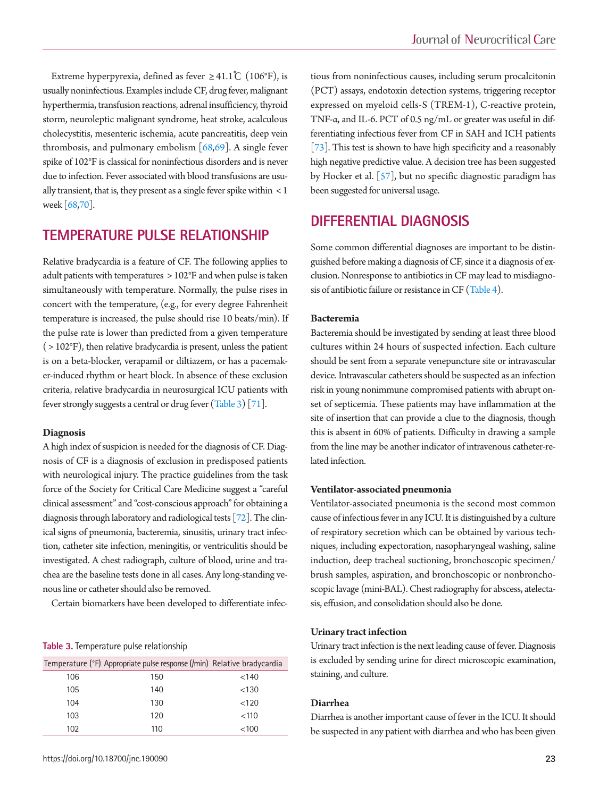Extreme hyperpyrexia, defined as fever  $\geq 41.1^{\circ}C$  (106°F), is usually noninfectious. Examples include CF, drug fever, malignant hyperthermia, transfusion reactions, adrenal insufficiency, thyroid storm, neuroleptic malignant syndrome, heat stroke, acalculous cholecystitis, mesenteric ischemia, acute pancreatitis, deep vein thrombosis, and pulmonary embolism  $[68,69]$  $[68,69]$ . A single fever spike of 102°F is classical for noninfectious disorders and is never due to infection. Fever associated with blood transfusions are usually transient, that is, they present as a single fever spike within < 1 week [\[68](#page-10-13)[,70](#page-10-14)].

### **TEMPERATURE PULSE RELATIONSHIP**

Relative bradycardia is a feature of CF. The following applies to adult patients with temperatures > 102°F and when pulse is taken simultaneously with temperature. Normally, the pulse rises in concert with the temperature, (e.g., for every degree Fahrenheit temperature is increased, the pulse should rise 10 beats/min). If the pulse rate is lower than predicted from a given temperature  $($  > 102 $\mathrm{P}$ ), then relative bradycardia is present, unless the patient is on a beta-blocker, verapamil or diltiazem, or has a pacemaker-induced rhythm or heart block. In absence of these exclusion criteria, relative bradycardia in neurosurgical ICU patients with fever strongly suggests a central or drug fever [\(T](#page-4-0)able 3) [\[71\]](#page-10-13).

#### **Diagnosis**

A high index of suspicion is needed for the diagnosis of CF. Diagnosis of CF is a diagnosis of exclusion in predisposed patients with neurological injury. The practice guidelines from the task force of the Society for Critical Care Medicine suggest a "careful clinical assessment" and "cost-conscious approach" for obtaining a diagnosis through laboratory and radiological tests [\[72\]](#page-10-15). The clinical signs of pneumonia, bacteremia, sinusitis, urinary tract infection, catheter site infection, meningitis, or ventriculitis should be investigated. A chest radiograph, culture of blood, urine and trachea are the baseline tests done in all cases. Any long-standing venous line or catheter should also be removed.

Certain biomarkers have been developed to differentiate infec-

#### <span id="page-4-0"></span>**Table 3.** Temperature pulse relationship

|     | Temperature (°F) Appropriate pulse response (/min) Relative bradycardia |       |
|-----|-------------------------------------------------------------------------|-------|
| 106 | 150                                                                     | < 140 |
| 105 | 140                                                                     | < 130 |
| 104 | 130                                                                     | < 120 |
| 103 | 120                                                                     | < 110 |
| 102 | 110                                                                     | < 100 |

tious from noninfectious causes, including serum procalcitonin (PCT) assays, endotoxin detection systems, triggering receptor expressed on myeloid cells-S (TREM-1), C-reactive protein, TNF-α, and IL-6. PCT of 0.5 ng/mL or greater was useful in differentiating infectious fever from CF in SAH and ICH patients [\[73](#page-10-16)]. This test is shown to have high specificity and a reasonably high negative predictive value. A decision tree has been suggested by Hocker et al. [\[57](#page-10-6)], but no specific diagnostic paradigm has been suggested for universal usage.

### **DIFFERENTIAL DIAGNOSIS**

Some common differential diagnoses are important to be distinguished before making a diagnosis of CF, since it a diagnosis of exclusion. Nonresponse to antibiotics in CF may lead to misdiagnosis of antibiotic failure or resistance in CF [\(Table 4](#page-5-0)).

#### **Bacteremia**

Bacteremia should be investigated by sending at least three blood cultures within 24 hours of suspected infection. Each culture should be sent from a separate venepuncture site or intravascular device. Intravascular catheters should be suspected as an infection risk in young nonimmune compromised patients with abrupt onset of septicemia. These patients may have inflammation at the site of insertion that can provide a clue to the diagnosis, though this is absent in 60% of patients. Difficulty in drawing a sample from the line may be another indicator of intravenous catheter-related infection.

#### **Ventilator-associated pneumonia**

Ventilator-associated pneumonia is the second most common cause of infectious fever in any ICU. It is distinguished by a culture of respiratory secretion which can be obtained by various techniques, including expectoration, nasopharyngeal washing, saline induction, deep tracheal suctioning, bronchoscopic specimen/ brush samples, aspiration, and bronchoscopic or nonbronchoscopic lavage (mini-BAL). Chest radiography for abscess, atelectasis, effusion, and consolidation should also be done.

#### **Urinary tract infection**

Urinary tract infection is the next leading cause of fever. Diagnosis is excluded by sending urine for direct microscopic examination, staining, and culture.

#### **Diarrhea**

Diarrhea is another important cause of fever in the ICU. It should be suspected in any patient with diarrhea and who has been given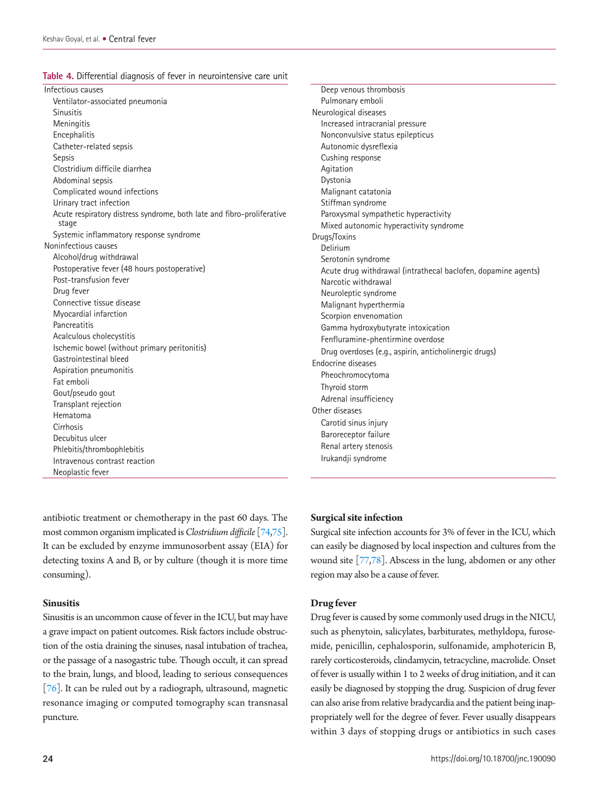<span id="page-5-0"></span>**Table 4.** Differential diagnosis of fever in neurointensive care unit

| Infectious causes                                                               |  |
|---------------------------------------------------------------------------------|--|
| Ventilator-associated pneumonia                                                 |  |
| <b>Sinusitis</b>                                                                |  |
| Meningitis                                                                      |  |
| Encephalitis                                                                    |  |
| Catheter-related sepsis                                                         |  |
| Sepsis                                                                          |  |
| Clostridium difficile diarrhea                                                  |  |
| Abdominal sepsis                                                                |  |
| Complicated wound infections                                                    |  |
| Urinary tract infection                                                         |  |
| Acute respiratory distress syndrome, both late and fibro-proliferative<br>stage |  |
| Systemic inflammatory response syndrome                                         |  |
| Noninfectious causes                                                            |  |
| Alcohol/drug withdrawal                                                         |  |
| Postoperative fever (48 hours postoperative)                                    |  |
| Post-transfusion fever                                                          |  |
| Drug fever                                                                      |  |
| Connective tissue disease                                                       |  |
| Myocardial infarction                                                           |  |
| Pancreatitis                                                                    |  |
| Acalculous cholecystitis                                                        |  |
| Ischemic bowel (without primary peritonitis)                                    |  |
| Gastrointestinal bleed                                                          |  |
| Aspiration pneumonitis                                                          |  |
| Fat emboli                                                                      |  |
| Gout/pseudo gout                                                                |  |
| Transplant rejection                                                            |  |
| Hematoma                                                                        |  |
| Cirrhosis                                                                       |  |
| Decubitus ulcer                                                                 |  |
| Phlebitis/thrombophlebitis                                                      |  |
| Intravenous contrast reaction                                                   |  |
| Neoplastic fever                                                                |  |

antibiotic treatment or chemotherapy in the past 60 days. The most common organism implicated is *Clostridium difficile* [\[74](#page-10-17)[,75](#page-10-18)]. It can be excluded by enzyme immunosorbent assay (EIA) for detecting toxins A and B, or by culture (though it is more time consuming).

#### **Sinusitis**

Sinusitis is an uncommon cause of fever in the ICU, but may have a grave impact on patient outcomes. Risk factors include obstruction of the ostia draining the sinuses, nasal intubation of trachea, or the passage of a nasogastric tube. Though occult, it can spread to the brain, lungs, and blood, leading to serious consequences [\[76](#page-10-19)]. It can be ruled out by a radiograph, ultrasound, magnetic resonance imaging or computed tomography scan transnasal puncture.

Deep venous thrombosis Pulmonary emboli Neurological diseases Increased intracranial pressure Nonconvulsive status epilepticus Autonomic dysreflexia Cushing response Agitation Dystonia Malignant catatonia Stiffman syndrome Paroxysmal sympathetic hyperactivity Mixed autonomic hyperactivity syndrome Drugs/Toxins Delirium Serotonin syndrome Acute drug withdrawal (intrathecal baclofen, dopamine agents) Narcotic withdrawal Neuroleptic syndrome Malignant hyperthermia Scorpion envenomation Gamma hydroxybutyrate intoxication Fenfluramine-phentirmine overdose Drug overdoses (e.g., aspirin, anticholinergic drugs) Endocrine diseases Pheochromocytoma Thyroid storm Adrenal insufficiency Other diseases Carotid sinus injury Baroreceptor failure Renal artery stenosis Irukandji syndrome

#### **Surgical site infection**

Surgical site infection accounts for 3% of fever in the ICU, which can easily be diagnosed by local inspection and cultures from the wound site [\[77](#page-10-20)[,78](#page-10-21)]. Abscess in the lung, abdomen or any other region may also be a cause of fever.

#### **Drug fever**

Drug fever is caused by some commonly used drugs in the NICU, such as phenytoin, salicylates, barbiturates, methyldopa, furosemide, penicillin, cephalosporin, sulfonamide, amphotericin B, rarely corticosteroids, clindamycin, tetracycline, macrolide. Onset of fever is usually within 1 to 2 weeks of drug initiation, and it can easily be diagnosed by stopping the drug. Suspicion of drug fever can also arise from relative bradycardia and the patient being inappropriately well for the degree of fever. Fever usually disappears within 3 days of stopping drugs or antibiotics in such cases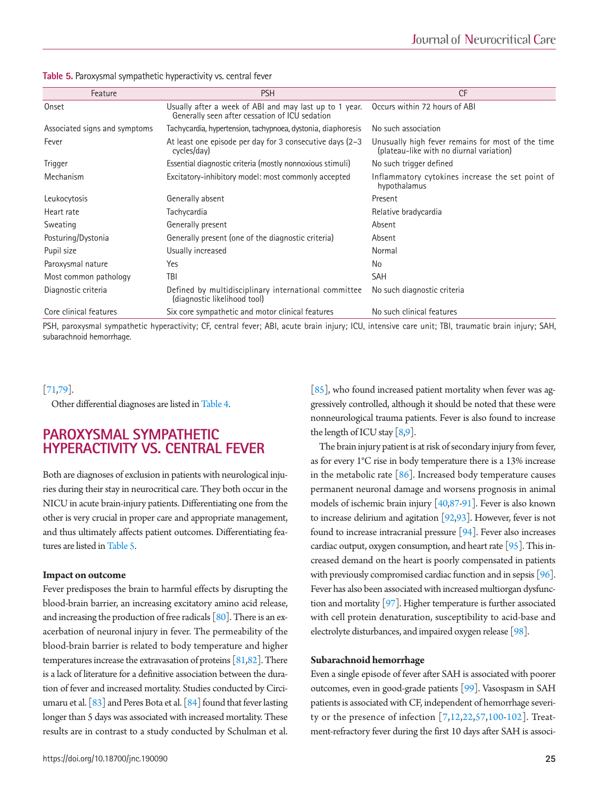<span id="page-6-0"></span>

| Table 5. Paroxysmal sympathetic hyperactivity vs. central fever |  |
|-----------------------------------------------------------------|--|
|-----------------------------------------------------------------|--|

| Feature                       | <b>PSH</b>                                                                                               | <b>CF</b>                                                                                     |
|-------------------------------|----------------------------------------------------------------------------------------------------------|-----------------------------------------------------------------------------------------------|
| Onset                         | Usually after a week of ABI and may last up to 1 year.<br>Generally seen after cessation of ICU sedation | Occurs within 72 hours of ABI                                                                 |
| Associated signs and symptoms | Tachycardia, hypertension, tachypnoea, dystonia, diaphoresis                                             | No such association                                                                           |
| Fever                         | At least one episode per day for 3 consecutive days (2–3<br>cycles/day)                                  | Unusually high fever remains for most of the time<br>(plateau-like with no diurnal variation) |
| Trigger                       | Essential diagnostic criteria (mostly nonnoxious stimuli)                                                | No such trigger defined                                                                       |
| Mechanism                     | Excitatory-inhibitory model: most commonly accepted                                                      | Inflammatory cytokines increase the set point of<br>hypothalamus                              |
| Leukocytosis                  | Generally absent                                                                                         | Present                                                                                       |
| Heart rate                    | Tachycardia                                                                                              | Relative bradycardia                                                                          |
| Sweating                      | Generally present                                                                                        | Absent                                                                                        |
| Posturing/Dystonia            | Generally present (one of the diagnostic criteria)                                                       | Absent                                                                                        |
| Pupil size                    | Usually increased                                                                                        | Normal                                                                                        |
| Paroxysmal nature             | Yes                                                                                                      | No                                                                                            |
| Most common pathology         | <b>TBI</b>                                                                                               | <b>SAH</b>                                                                                    |
| Diagnostic criteria           | Defined by multidisciplinary international committee<br>(diagnostic likelihood tool)                     | No such diagnostic criteria                                                                   |
| Core clinical features        | Six core sympathetic and motor clinical features                                                         | No such clinical features                                                                     |

PSH, paroxysmal sympathetic hyperactivity; CF, central fever; ABI, acute brain injury; ICU, intensive care unit; TBI, traumatic brain injury; SAH, subarachnoid hemorrhage.

#### [\[71](#page-10-22)[,79](#page-10-23)].

Other differential diagnoses are listed in [Table 4](#page-5-0).

### **PAROXYSMAL SYMPATHETIC HYPERACTIVITY VS. CENTRAL FEVER**

Both are diagnoses of exclusion in patients with neurological injuries during their stay in neurocritical care. They both occur in the NICU in acute brain-injury patients. Differentiating one from the other is very crucial in proper care and appropriate management, and thus ultimately affects patient outcomes. Differentiating fea-tures are listed in [Table 5.](#page-6-0)

#### **Impact on outcome**

Fever predisposes the brain to harmful effects by disrupting the blood-brain barrier, an increasing excitatory amino acid release, and increasing the production of free radicals  $\lceil 80 \rceil$ . There is an exacerbation of neuronal injury in fever. The permeability of the blood-brain barrier is related to body temperature and higher temperatures increase the extravasation of proteins [[81](#page-11-1)[,82\]](#page-11-2). There is a lack of literature for a definitive association between the duration of fever and increased mortality. Studies conducted by Circiumaru et al. [\[83](#page-11-3)] and Peres Bota et al. [\[84\]](#page-11-0) found that fever lasting longer than 5 days was associated with increased mortality. These results are in contrast to a study conducted by Schulman et al.

https://doi.org/10.18700/jnc.190090 25

 $[85]$ , who found increased patient mortality when fever was aggressively controlled, although it should be noted that these were nonneurological trauma patients. Fever is also found to increase the length of ICU stay  $\lceil 8.9 \rceil$ .

The brain injury patient is at risk of secondary injury from fever, as for every 1°C rise in body temperature there is a 13% increase in the metabolic rate  $[86]$ . Increased body temperature causes permanent neuronal damage and worsens prognosis in animal models of ischemic brain injury [[40](#page-9-21)[,87-](#page-11-3)[91](#page-11-6)]. Fever is also known to increase delirium and agitation [\[92](#page-11-7)[,](#page-11-8)[93\]](#page-11-9). However, fever is not found to increase intracranial pressure [\[94\]](#page-11-10). Fever also increases cardiac output, oxygen consumption, and heart rate [\[95\]](#page-11-11). This increased demand on the heart is poorly compensated in patients with previously compromised cardiac function and in sepsis [\[96\]](#page-11-12). Fever has also been associated with increased multiorgan dysfunction and mortality [\[97](#page-11-13)]. Higher temperature is further associated with cell protein denaturation, susceptibility to acid-base and electrolyte disturbances, and impaired oxygen release [\[98\]](#page-11-14).

#### **Subarachnoid hemorrhage**

Even a single episode of fever after SAH is associated with poorer outcomes, even in good-grade patients [\[99\]](#page-11-15). Vasospasm in SAH patients is associated with CF, independent of hemorrhage severity or the presence of infection [\[7](#page-8-9),[12](#page-8-15)[,22,](#page-9-18)[57](#page-10-6)[,100](#page-11-16)[-102](#page-11-17)]. Treatment-refractory fever during the first 10 days after SAH is associ-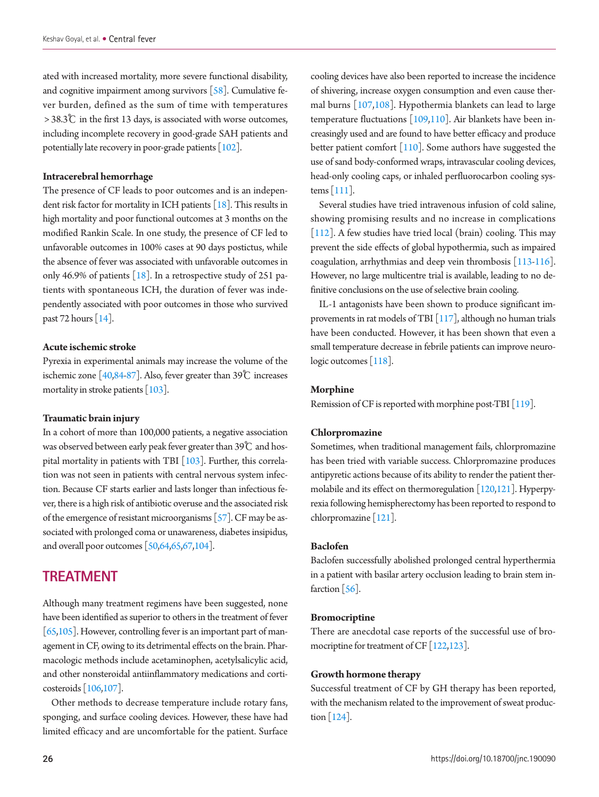ated with increased mortality, more severe functional disability, and cognitive impairment among survivors  $[58]$ . Cumulative fever burden, defined as the sum of time with temperatures > 38.3℃ in the first 13 days, is associated with worse outcomes, including incomplete recovery in good-grade SAH patients and potentially late recovery in poor-grade patients [\[102\]](#page-11-17).

#### **Intracerebral hemorrhage**

The presence of CF leads to poor outcomes and is an independent risk factor for mortality in ICH patients [[18](#page-8-13)]. This results in high mortality and poor functional outcomes at 3 months on the modified Rankin Scale. In one study, the presence of CF led to unfavorable outcomes in 100% cases at 90 days postictus, while the absence of fever was associated with unfavorable outcomes in only 46.9% of patients [\[18](#page-8-13)]. In a retrospective study of 251 patients with spontaneous ICH, the duration of fever was independently associated with poor outcomes in those who survived past 72 hours  $[14]$ .

#### **Acute ischemic stroke**

Pyrexia in experimental animals may increase the volume of the ischemic zone  $[40,84-87]$  $[40,84-87]$  $[40,84-87]$  $[40,84-87]$ . Also, fever greater than 39°C increases mortality in stroke patients [\[103](#page-11-18)].

#### **Traumatic brain injury**

In a cohort of more than 100,000 patients, a negative association was observed between early peak fever greater than 39℃ and hospital mortality in patients with TBI  $\lceil 103 \rceil$ . Further, this correlation was not seen in patients with central nervous system infection. Because CF starts earlier and lasts longer than infectious fever, there is a high risk of antibiotic overuse and the associated risk of the emergence of resistant microorganisms [\[57\]](#page-10-6). CF may be associated with prolonged coma or unawareness, diabetes insipidus, and overall poor outcomes [\[50,](#page-10-24)[64](#page-10-11)[,65,](#page-10-25)6[7,104\]](#page-11-19).

### **TREATMENT**

Although many treatment regimens have been suggested, none have been identified as superior to others in the treatment of fever [\[65,](#page-10-25)[105](#page-11-20)]. However, controlling fever is an important part of management in CF, owing to its detrimental effects on the brain. Pharmacologic methods include acetaminophen, acetylsalicylic acid, and other nonsteroidal antiinflammatory medications and corticosteroids [\[106](#page-11-21)[,107\]](#page-11-22).

Other methods to decrease temperature include rotary fans, sponging, and surface cooling devices. However, these have had limited efficacy and are uncomfortable for the patient. Surface

cooling devices have also been reported to increase the incidence of shivering, increase oxygen consumption and even cause thermal burns [\[107](#page-11-22),[108\]](#page-11-23). Hypothermia blankets can lead to large temperature fluctuations [\[109,](#page-12-0)[110\]](#page-12-1). Air blankets have been increasingly used and are found to have better efficacy and produce better patient comfort  $[110]$ . Some authors have suggested the use of sand body-conformed wraps, intravascular cooling devices, head-only cooling caps, or inhaled perfluorocarbon cooling systems [\[111\]](#page-12-2).

Several studies have tried intravenous infusion of cold saline, showing promising results and no increase in complications [\[112\]](#page-12-3). A few studies have tried local (brain) cooling. This may prevent the side effects of global hypothermia, such as impaired coagulation, arrhythmias and deep vein thrombosis [\[113](#page-12-4)[-116\]](#page-12-5). However, no large multicentre trial is available, leading to no definitive conclusions on the use of selective brain cooling.

IL-1 antagonists have been shown to produce significant improvements in rat models of TBI  $[117]$ , although no human trials have been conducted. However, it has been shown that even a small temperature decrease in febrile patients can improve neuro-logic outcomes [\[118](#page-12-7)].

#### **Morphine**

Remission of CF is reported with morphine post-TBI [\[119\]](#page-12-8).

#### **Chlorpromazine**

Sometimes, when traditional management fails, chlorpromazine has been tried with variable success. Chlorpromazine produces antipyretic actions because of its ability to render the patient thermolabile and its effect on thermoregulation  $[120,121]$  $[120,121]$  $[120,121]$  $[120,121]$ . Hyperpyrexia following hemispherectomy has been reported to respond to chlorpromazine [\[121](#page-12-10)].

#### **Baclofen**

Baclofen successfully abolished prolonged central hyperthermia in a patient with basilar artery occlusion leading to brain stem infarction  $\lceil 56 \rceil$ .

#### **Bromocriptine**

There are anecdotal case reports of the successful use of bro-mocriptine for treatment of CF [\[122,](#page-12-11)[123\]](#page-12-12).

#### **Growth hormone therapy**

Successful treatment of CF by GH therapy has been reported, with the mechanism related to the improvement of sweat production [\[124](#page-12-13)].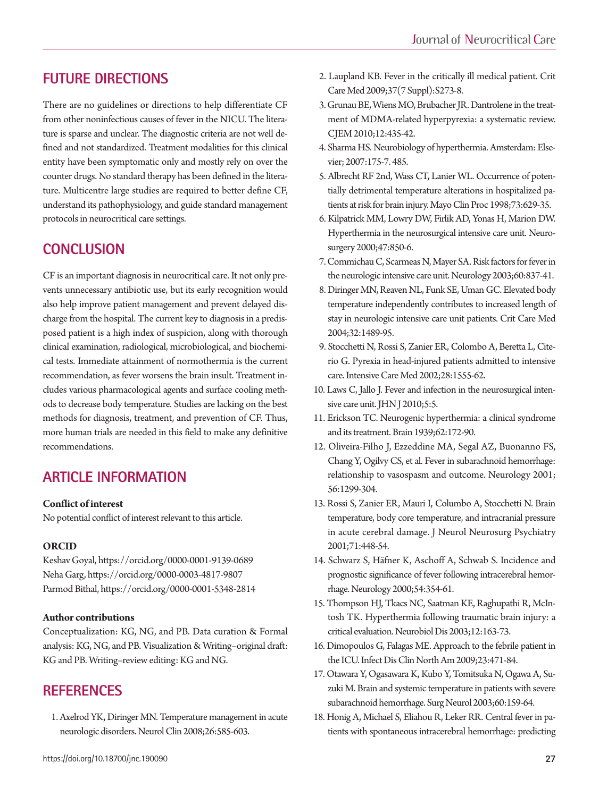### **FUTURE DIRECTIONS**

There are no guidelines or directions to help differentiate CF from other noninfectious causes of fever in the NICU. The literature is sparse and unclear. The diagnostic criteria are not well defined and not standardized. Treatment modalities for this clinical entity have been symptomatic only and mostly rely on over the counter drugs. No standard therapy has been defined in the literature. Multicentre large studies are required to better define CF, understand its pathophysiology, and guide standard management protocols in neurocritical care settings.

### **CONCLUSION**

CF is an important diagnosis in neurocritical care. It not only prevents unnecessary antibiotic use, but its early recognition would also help improve patient management and prevent delayed discharge from the hospital. The current key to diagnosis in a predisposed patient is a high index of suspicion, along with thorough clinical examination, radiological, microbiological, and biochemical tests. Immediate attainment of normothermia is the current recommendation, as fever worsens the brain insult. Treatment includes various pharmacological agents and surface cooling methods to decrease body temperature. Studies are lacking on the best methods for diagnosis, treatment, and prevention of CF. Thus, more human trials are needed in this field to make any definitive recommendations.

### **ARTICLE INFORMATION**

#### **Conflict of interest**

No potential conflict of interest relevant to this article.

#### **ORCID**

Keshav Goyal, https://orcid.org/0000-0001-9139-0689 Neha Garg, https://orcid.org/0000-0003-4817-9807 Parmod Bithal, https://orcid.org/0000-0001-5348-2814

#### **Author contributions**

Conceptualization: KG, NG, and PB. Data curation & Formal analysis: KG, NG, and PB. Visualization & Writing–original draft: KG and PB. Writing–review editing: KG and NG.

### **REFERENCES**

<span id="page-8-0"></span>1. [Axelrod YK, Diringer MN. Temperature management in acute](https://doi.org/10.1016/j.ncl.2008.02.005) [neurologic disorders. Neurol Clin 2008;26:585-603.](https://doi.org/10.1016/j.ncl.2008.02.005)

- <span id="page-8-1"></span>2. Laupland K[B. Fever in the critically ill medical patient. Crit](https://doi.org/10.1097/CCM.0b013e3181aa6117)  [Care Med 2009;37\(7 Suppl\):S273-8.](https://doi.org/10.1097/CCM.0b013e3181aa6117)
- <span id="page-8-2"></span>3. Grunau BE, Wiens MO, Brubacher JR. Dantrolene in the treatment of MDMA-related hyper[pyrexia: a systematic review.](https://doi.org/10.1017/S1481803500012598)  [CJEM 2010;12:435-42.](https://doi.org/10.1017/S1481803500012598)
- <span id="page-8-3"></span>4. Sharma HS. Neurobiology of hyperthermia. Amsterdam: Elsevier; 2007:175-7. 485.
- <span id="page-8-4"></span>[5. Albrecht RF 2nd, Wass CT, Lanier WL. Occurrence of poten](https://doi.org/10.1016/S0025-6196(11)64885-4)[tially detrimental temperature alterations in hospitalized pa](https://doi.org/10.1016/S0025-6196(11)64885-4)[tients at risk for brain injury. Mayo Clin Proc 1998;73:629-35](https://doi.org/10.1016/S0025-6196(11)64885-4).
- <span id="page-8-5"></span>6. Kilpatrick MM, L[owry DW, Firlik AD, Yonas H, Marion DW.](https://doi.org/10.1097/00006123-200010000-00011)  [Hyperthermia in the neurosurgical intensive care unit. Neuro](https://doi.org/10.1097/00006123-200010000-00011)[surgery 2000;47:850-6.](https://doi.org/10.1097/00006123-200010000-00011)
- <span id="page-8-9"></span>7. [Commichau C, Scarmeas N, Mayer SA. Risk factors for fever in](https://doi.org/10.1212/01.WNL.0000047344.28843.EB)  [the neurologic intensive care unit. Neurology 2003;60:837-41.](https://doi.org/10.1212/01.WNL.0000047344.28843.EB)
- <span id="page-8-7"></span>8. Diringer MN, Reaven NL, Funk SE, Uman GC. El[evated body](https://doi.org/10.1097/01.CCM.0000129484.61912.84)  [temperature independently contributes to increased length of](https://doi.org/10.1097/01.CCM.0000129484.61912.84)  [stay in neurologic intensive care unit patients. Crit Care Med](https://doi.org/10.1097/01.CCM.0000129484.61912.84)  [2004;32:1489-95.](https://doi.org/10.1097/01.CCM.0000129484.61912.84)
- <span id="page-8-14"></span>[9. Stocchetti N, Rossi S, Zanier ER, Colombo A, Beretta L, Cite](https://doi.org/10.1007/s00134-002-1513-1)[rio G. Pyrexia in head-injured patients admitted to intensive](https://doi.org/10.1007/s00134-002-1513-1)  [care. Intensive Care Med 2002;28:1555-62.](https://doi.org/10.1007/s00134-002-1513-1)
- <span id="page-8-10"></span>10. [Laws C, Jallo J. Fever and infection in the neurosurgical inten](https://doi.org/10.29046/JHNJ.005.2.005)[sive care unit. JHN J 2010;5:5.](https://doi.org/10.29046/JHNJ.005.2.005)
- <span id="page-8-6"></span>11. Erickson TC. Neu[rogenic hyperthermia: a clinical syndrome](https://doi.org/10.1093/brain/62.2.172)  [and its treatment. Brain 1939;62:172-90.](https://doi.org/10.1093/brain/62.2.172)
- <span id="page-8-15"></span>12. [Oliveira-Filho J, Ezzeddine MA, Segal AZ, Buonanno FS,](https://doi.org/10.1212/WNL.56.10.1299)  [Chang Y, Ogilvy CS, et al. Fever in subarachnoid hemorrhage:](https://doi.org/10.1212/WNL.56.10.1299)  [relationship to vasospasm and outcome. Neurology 2001;](https://doi.org/10.1212/WNL.56.10.1299) [56:1299-304.](https://doi.org/10.1212/WNL.56.10.1299)
- 13. [Rossi S, Zanier ER, Mauri I, Columbo A, Stocchetti N. Brain](https://doi.org/10.1136/jnnp.71.4.448)  [temperature, body core temperature, and intracranial pressure](https://doi.org/10.1136/jnnp.71.4.448)  in acute cerebral damage. J Neurol Neurosurg Psychiatry [2001;71:448-54.](https://doi.org/10.1136/jnnp.71.4.448)
- <span id="page-8-16"></span>14[. Schwarz S, Häfner K, Aschoff A, Schwab S. Incidence and](https://doi.org/10.1212/WNL.54.2.354)  [prognostic significance of fever following intracerebral hemor](https://doi.org/10.1212/WNL.54.2.354)[rhage. Neurology 2000;54:354-61.](https://doi.org/10.1212/WNL.54.2.354)
- <span id="page-8-12"></span>15. [Thompson HJ, Tkacs NC, Saatman KE, Raghupathi R, McIn](https://doi.org/10.1016/S0969-9961(02)00030-X)[tosh TK. Hyperthermia following traumatic brain injury: a](https://doi.org/10.1016/S0969-9961(02)00030-X)  [critical evaluation. Neurobiol Dis 2003;12:163-73.](https://doi.org/10.1016/S0969-9961(02)00030-X)
- <span id="page-8-8"></span>1[6. Dimopoulos G, Falagas ME. Approach to the febrile patient in](https://doi.org/10.1016/j.idc.2009.04.001)  [the ICU. Infect Dis Clin North Am 2009;23:471-84](https://doi.org/10.1016/j.idc.2009.04.001).
- <span id="page-8-11"></span>17. Otawara Y, Ogasawara K, Kubo Y, Tomitsuka N, Ogawa A, Suzuki M. B[rain and systemic temperature in patients with severe](https://doi.org/10.1016/S0090-3019(03)00083-1)  [subarachnoid hemorrhage. Surg Neurol 2003;60:159-64.](https://doi.org/10.1016/S0090-3019(03)00083-1)
- <span id="page-8-13"></span>18. [Honig A, Michael S, Eliahou R, Leker RR. Central fever in pa](https://doi.org/10.1186/s12883-015-0258-8)[tients with spontaneous intracerebral hemorrhage: predicting](https://doi.org/10.1186/s12883-015-0258-8)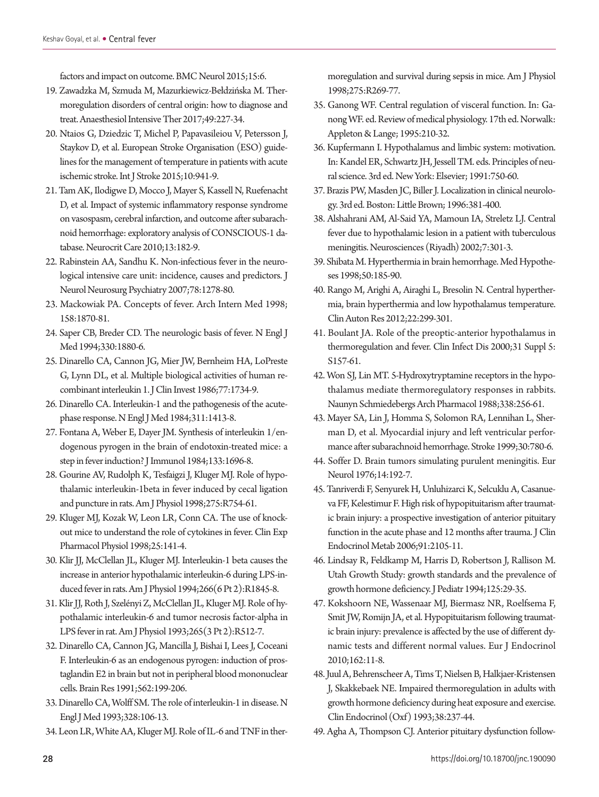[factors and impact on outcome. BMC Neurol 2015;15:6.](https://doi.org/10.1186/s12883-015-0258-8)

- <span id="page-9-0"></span>19. Zawadzka M, Szmuda M, Mazurkiewicz-Bełdzińska M. Thermo[regulation disorders of central origin: how to diagnose and](https://doi.org/10.5603/AIT.2017.0042) [treat. Anaesthesiol Intensive Ther 2017;49:227-34.](https://doi.org/10.5603/AIT.2017.0042)
- <span id="page-9-1"></span>2[0. Ntaios G, Dziedzic T, Michel P, Papavasileiou V, Petersson J,](https://doi.org/10.1111/ijs.12579) [Staykov D, et al. European Stroke Organisation \(ESO\) guide](https://doi.org/10.1111/ijs.12579)[lines for the management of temperature in patients with acute](https://doi.org/10.1111/ijs.12579)  [ischemic stroke. Int J Stroke 2015;10:941-9.](https://doi.org/10.1111/ijs.12579)
- <span id="page-9-19"></span>21. [Tam AK, Ilodigwe D, Mocco J, Mayer S, Kassell N, Ruefenacht](https://doi.org/10.1007/s12028-010-9402-x) [D, et al. Impact of systemic inflammatory response syndrome](https://doi.org/10.1007/s12028-010-9402-x) [on vasospasm, cerebral infarction, and outcome after subarach](https://doi.org/10.1007/s12028-010-9402-x)[noid hemorrhage: exploratory analysis of CONSCIOUS-1 da](https://doi.org/10.1007/s12028-010-9402-x)[tabase. Neurocrit](https://doi.org/10.1007/s12028-010-9402-x) Care 2010;13:182-9.
- <span id="page-9-18"></span>22. [Rabinstein AA, Sandhu K. Non-infectious fever in the neuro](https://doi.org/10.1136/jnnp.2006.112730)[logical intensive care unit: incidence, causes and predictors. J](https://doi.org/10.1136/jnnp.2006.112730) [Neurol Neurosurg Psychiatry 2007;78:1278-80.](https://doi.org/10.1136/jnnp.2006.112730)
- <span id="page-9-2"></span>2[3. Mackowiak PA. Concepts of fever. Arch Intern Med 1998;](https://doi.org/10.1001/archinte.158.17.1870) [158:1870-81.](https://doi.org/10.1001/archinte.158.17.1870)
- <span id="page-9-4"></span>2[4. Saper CB, Breder CD. The neurologic basis of fever. N Engl J](https://doi.org/10.1056/NEJM199406303302609) [Med 1994;330:1880-6](https://doi.org/10.1056/NEJM199406303302609).
- 2[5. Dinarello CA, Cannon JG, Mier JW, Bernheim HA, LoPreste](https://doi.org/10.1172/JCI112495) [G, Lynn DL, et al. Multiple biological activities of human re](https://doi.org/10.1172/JCI112495)[combinant interleukin 1. J Clin Invest 1986;77:1734-9](https://doi.org/10.1172/JCI112495).
- 26. [Dinarello CA. Interleukin-1 and the pathogenesis of the acute](https://doi.org/10.1056/NEJM198411293112205)[phase response. N Engl J Med 1984;311:1413-8.](https://doi.org/10.1056/NEJM198411293112205)
- 27. [Fontana A, Weber E, Dayer JM. Synthesis of interleukin 1/en](https://www.ncbi.nlm.nih.gov/pubmed/6332129)[dogenous pyrogen in the brain of endotoxin-treated mice: a](https://www.ncbi.nlm.nih.gov/pubmed/6332129)  [step in fever induction? J Immunol 1984;133:1696-8.](https://www.ncbi.nlm.nih.gov/pubmed/6332129)
- 28. [Gourine AV, Rudolph K, Tesfaigzi J, Kluger MJ. Role of hypo](https://www.ncbi.nlm.nih.gov/pubmed/9728072)[thalamic interleukin-1beta in fever induced by cecal ligation](https://www.ncbi.nlm.nih.gov/pubmed/9728072)  [and puncture in rats. Am J Physiol 1998;275:R754-61.](https://www.ncbi.nlm.nih.gov/pubmed/9728072)
- 29. [Kluger MJ, Kozak W, Leon LR, Conn CA. The use of knock](https://doi.org/10.1111/j.1440-1681.1998.tb02193.x)[out mice to understand the role of cytokines in fever. Clin Exp](https://doi.org/10.1111/j.1440-1681.1998.tb02193.x)  [Pharmacol Physiol 1998;25:141-4.](https://doi.org/10.1111/j.1440-1681.1998.tb02193.x)
- 30. [Klir JJ, McClellan JL, Kluger MJ. Interleukin-1 beta causes the](https://doi.org/10.1152/ajpregu.1994.266.6.R1845)  [increase in anterior hypothalamic interleukin-6 during LPS-in](https://doi.org/10.1152/ajpregu.1994.266.6.R1845)[duced fever in rats. Am J Physiol 1994;266\(6 Pt 2\):R1845-8.](https://doi.org/10.1152/ajpregu.1994.266.6.R1845)
- 31. [Klir JJ, Roth J, Szelényi Z, McClellan JL, Kluger MJ. Role of hy](https://doi.org/10.1152/ajpregu.1993.265.3.R512)[pothalamic interleukin-6 and tumor necrosis factor-alpha in](https://doi.org/10.1152/ajpregu.1993.265.3.R512) [LPS fever in rat. Am J Physiol 1993;265\(3 Pt 2\):R512-7.](https://doi.org/10.1152/ajpregu.1993.265.3.R512)
- 32. [Dinarello CA, Cannon JG, Mancilla J, Bishai I, Lees J, Coceani](https://doi.org/10.1016/0006-8993(91)90622-3)  [F. Interleukin-6 as an endogenous pyrogen: induction of pros](https://doi.org/10.1016/0006-8993(91)90622-3)[taglandin E2 in brain but not in peripheral blood mononuclear](https://doi.org/10.1016/0006-8993(91)90622-3) [cells. Brain Res 1991;562:199-206.](https://doi.org/10.1016/0006-8993(91)90622-3)
- 33. [Dinarello CA, Wolff SM. The role of interleukin-1 in disease. N](https://doi.org/10.1056/NEJM199301143280207) [Engl J Med 1993;328:106-13.](https://doi.org/10.1056/NEJM199301143280207)
- <span id="page-9-3"></span>3[4. Leon LR, White AA, Kluger MJ. Role of IL-6 and TNF in ther-](https://doi.org/10.1152/ajpregu.1998.275.1.R269)

[moregulation and survival during sepsis in mice. Am J Physiol](https://doi.org/10.1152/ajpregu.1998.275.1.R269)  [1998;275:R269-77.](https://doi.org/10.1152/ajpregu.1998.275.1.R269)

- <span id="page-9-6"></span><span id="page-9-5"></span>35. Ganong WF. Central regulation of visceral function. In: Ganong WF. ed. Review of medical physiology. 17th ed. Norwalk: Appleton & Lange; 1995:210-32.
- <span id="page-9-8"></span><span id="page-9-7"></span>36. Kupfermann I. Hypothalamus and limbic system: motivation. In: Kandel ER, Schwartz JH, Jessell TM. eds. Principles of neural science. 3rd ed. New York: Elsevier; 1991:750-60.
- 37. Brazis PW, Masden JC, Biller J. Localization in clinical neurology. 3rd ed. Boston: Little Brown; 1996:381-400.
- <span id="page-9-20"></span>38. [Alshahrani AM, Al-Said YA, Mamoun IA, Streletz LJ. Central](https://www.ncbi.nlm.nih.gov/pubmed/23978866)  [fever due to hypothalamic lesion in a patient with tuberculous](https://www.ncbi.nlm.nih.gov/pubmed/23978866)  [meningitis. Neurosciences \(Riyadh\) 2002;7:301-3.](https://www.ncbi.nlm.nih.gov/pubmed/23978866)
- 39. [Shibata M. Hyperthermia in brain hemorrhage. Med Hypothe](https://doi.org/10.1016/S0306-9877(98)90016-0)[ses 1998;50:185-90.](https://doi.org/10.1016/S0306-9877(98)90016-0)
- <span id="page-9-21"></span>40. [Rango M, Arighi A, Airaghi L, Bresolin N. Central hyperther](https://doi.org/10.1007/s10286-012-0174-6)[mia, brain hyperthermia and low hypothalamus temperature.](https://doi.org/10.1007/s10286-012-0174-6)  [Clin Auton Res 2012;22:299-301.](https://doi.org/10.1007/s10286-012-0174-6)
- <span id="page-9-9"></span>41[. Boulant JA. Role of the preoptic-anterior hypothalamus in](https://doi.org/10.1086/317521)  [thermoregulation and fever. Clin Infect Dis 2000;31 Suppl 5:](https://doi.org/10.1086/317521) [S157-61.](https://doi.org/10.1086/317521)
- <span id="page-9-10"></span>4[2. Won SJ, Lin MT. 5-Hydroxytryptamine receptors in the hypo](https://doi.org/10.1007/BF00173397)[thalamus mediate thermoregulatory responses in rabbits.](https://doi.org/10.1007/BF00173397)  [Naunyn Schmiedebergs Arch Pharmacol 1988;338:256-61](https://doi.org/10.1007/BF00173397).
- <span id="page-9-11"></span>4[3. Mayer SA, Lin J, Homma S, Solomon RA, Lennihan L, Sher](https://doi.org/10.1161/01.STR.30.4.780)[man D, et al. Myocardial injury and left ventricular perfor](https://doi.org/10.1161/01.STR.30.4.780)[mance after subarachnoid hemorrhage. Stroke 1999;30:780-6](https://doi.org/10.1161/01.STR.30.4.780).
- <span id="page-9-12"></span>44[. Soffer D. Brain tumors simulating purulent meningitis. Eur](https://doi.org/10.1159/000114740)  [Neurol 1976;14:192-7](https://doi.org/10.1159/000114740).
- <span id="page-9-13"></span>4[5. Tanriverdi F, Senyurek H, Unluhizarci K, Selcuklu A, Casanue](https://doi.org/10.1210/jc.2005-2476)[va FF, Kelestimur F. High risk of hypopituitarism after traumat](https://doi.org/10.1210/jc.2005-2476)[ic brain injury: a prospective investigation of anterior pituitary](https://doi.org/10.1210/jc.2005-2476)  [function in the acute phase and 12 months after trauma. J Clin](https://doi.org/10.1210/jc.2005-2476)  [Endocrinol Meta](https://doi.org/10.1210/jc.2005-2476)b 2006;91:2105-11.
- <span id="page-9-14"></span>4[6. Lindsay R, Feldkamp M, Harris D, Robertson J, Rallison M.](https://doi.org/10.1016/S0022-3476(94)70117-2)  [Utah Growth Study: growth standards and the prevalence of](https://doi.org/10.1016/S0022-3476(94)70117-2)  [growth hormone deficiency. J Pediatr 1994;125:29-35.](https://doi.org/10.1016/S0022-3476(94)70117-2)
- <span id="page-9-15"></span>4[7. Kokshoorn NE, Wassenaar MJ, Biermasz NR, Roelfsema F,](https://doi.org/10.1530/EJE-09-0601)  [Smit JW, Romijn JA, et al. Hypopituitarism following traumat](https://doi.org/10.1530/EJE-09-0601)[ic brain injury: prevalence is affected by the use of different dy](https://doi.org/10.1530/EJE-09-0601)[namic tests and different normal values. Eur J Endocrinol](https://doi.org/10.1530/EJE-09-0601)  [2010;162:11-8.](https://doi.org/10.1530/EJE-09-0601)
- <span id="page-9-16"></span>48. Juul A, Behrenscheer A, Tims [T, Nielsen B, Halkjaer-Kristensen](https://doi.org/10.1111/j.1365-2265.1993.tb01001.x)  [J, Skakkebaek NE. Impaired thermoregulation in adults with](https://doi.org/10.1111/j.1365-2265.1993.tb01001.x)  [growth hormone deficiency during heat exposure and exercise.](https://doi.org/10.1111/j.1365-2265.1993.tb01001.x)  [Clin Endocrinol \(Oxf\) 1993;38:237-44.](https://doi.org/10.1111/j.1365-2265.1993.tb01001.x)
- <span id="page-9-17"></span>49. [Agha A, Thompson CJ. Anterior pituitary dysfunction follow-](https://doi.org/10.1111/j.1365-2265.2006.02517.x)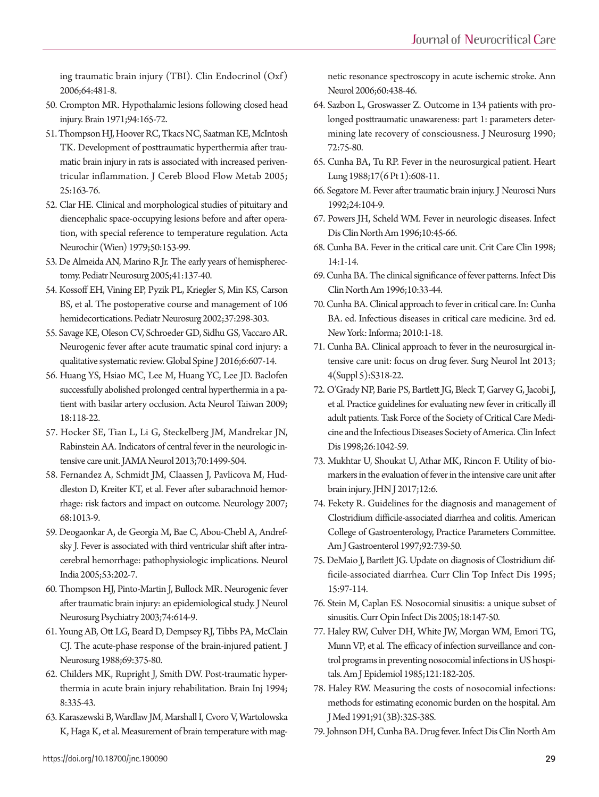[ing traumatic brain injury \(TBI\). Clin Endocrinol \(Oxf\)](https://doi.org/10.1111/j.1365-2265.2006.02517.x)  [2006;64:481-8.](https://doi.org/10.1111/j.1365-2265.2006.02517.x)

- <span id="page-10-24"></span>50. [Crompton MR. Hypothalamic lesions following closed head](https://doi.org/10.1093/brain/94.1.165) [injury. Brain 1971;94:165-72.](https://doi.org/10.1093/brain/94.1.165)
- <span id="page-10-0"></span>51. Thompson HJ, Hoover RC, Tkacs NC, Saatman KE, McIntosh TK. D[evelopment of posttraumatic hyperthermia after trau](https://doi.org/10.1038/sj.jcbfm.9600008)[matic brain injury in rats is associated with increased periven](https://doi.org/10.1038/sj.jcbfm.9600008)[tricular inflammation. J Cereb Blood Flow Metab 2005;](https://doi.org/10.1038/sj.jcbfm.9600008) [25:163-76.](https://doi.org/10.1038/sj.jcbfm.9600008)
- <span id="page-10-1"></span>52. Clar HE. Clinical and morphological studies of pituitary and diencephalic space-occup[ying lesions before and after opera](https://doi.org/10.1007/BF01808516)[tion, with special reference to temperature regulation. Acta](https://doi.org/10.1007/BF01808516) [Neurochir \(Wien\) 1979;50:153-99.](https://doi.org/10.1007/BF01808516)
- <span id="page-10-2"></span>53. De Almeida AN, Marino R Jr. The early years of hemispherectomy. Pediatr Neurosurg 2005;41:137-40.
- <span id="page-10-3"></span>54. Kossoff EH, Vining EP, Pyzik PL, Kriegler S, Min KS, Carson BS, et al. The postoperative course and management of 106 hemidecortications. Pediatr Neu[rosurg 2002;37:298-303.](https://doi.org/10.1159/000066309)
- <span id="page-10-4"></span>5[5. Savage KE, Oleson CV, Schroeder GD, Sidhu GS, Vaccaro AR.](https://doi.org/10.1055/s-0035-1570751)  [Neurogenic fever after acute traumatic spinal cord injury: a](https://doi.org/10.1055/s-0035-1570751)  [qualitative systematic review. Global Spine J 2016;6:607-14](https://doi.org/10.1055/s-0035-1570751).
- <span id="page-10-5"></span>56. Huang YS, Hsiao MC, Lee M, Huang [YC, Lee JD. Baclofen](https://www.ncbi.nlm.nih.gov/pubmed/19673364) [successfully abolished prolonged central hyperthermia in a pa](https://www.ncbi.nlm.nih.gov/pubmed/19673364)[tient with basilar artery occlusion. Acta Neurol Taiwan 2009;](https://www.ncbi.nlm.nih.gov/pubmed/19673364) [18:118-22.](https://www.ncbi.nlm.nih.gov/pubmed/19673364)
- <span id="page-10-6"></span>57. Ho[cker SE, Tian L, Li G, Steckelberg JM, Mandrekar JN,](https://doi.org/10.1001/jamaneurol.2013.4354)  [Rabinstein AA. Indicators of central fever in the neurologic in](https://doi.org/10.1001/jamaneurol.2013.4354)[tensive care unit. JAMA Neurol 2013;70:1499-504](https://doi.org/10.1001/jamaneurol.2013.4354).
- <span id="page-10-7"></span>58. Fernand[ez A, Schmidt JM, Claassen J, Pavlicova M, Hud](https://doi.org/10.1212/01.wnl.0000258543.45879.f5)[dleston D, Kreiter KT, et al. Fever after subarachnoid hemor](https://doi.org/10.1212/01.wnl.0000258543.45879.f5)[rhage: risk factors and impact on outcome. Neurology 2007;](https://doi.org/10.1212/01.wnl.0000258543.45879.f5) [68:1013-9.](https://doi.org/10.1212/01.wnl.0000258543.45879.f5)
- 59. [Deogaonkar A, de Georgia M, Bae C, Abou-Chebl A, Andref](https://doi.org/10.4103/0028-3886.16411)[sky J. Fever is associated with third ventricular shift after intra](https://doi.org/10.4103/0028-3886.16411)[cerebral hemorrhage: pathophysiologic implications. Neurol](https://doi.org/10.4103/0028-3886.16411) [India 2005;53:202-7.](https://doi.org/10.4103/0028-3886.16411)
- <span id="page-10-8"></span>60. Thompson HJ, Pinto-Martin J, Bullock MR. Neu[rogenic fever](https://doi.org/10.1136/jnnp.74.5.614)  [after traumatic brain injury: an epidemiological study. J Neurol](https://doi.org/10.1136/jnnp.74.5.614) [Neurosurg Psychiatry 2003;74:614-9.](https://doi.org/10.1136/jnnp.74.5.614)
- <span id="page-10-25"></span>61. [Young AB, Ott LG, Beard D, Dempsey RJ, Tibbs PA, McClain](https://doi.org/10.3171/jns.1988.69.3.0375)  [CJ. The acute-phase response of the brain-injured patient. J](https://doi.org/10.3171/jns.1988.69.3.0375) [Neurosurg 1988;69:375-80.](https://doi.org/10.3171/jns.1988.69.3.0375)
- <span id="page-10-10"></span>62. [Childers MK, Rupright J, Smith DW. Post-traumatic hyper](https://doi.org/10.3109/02699059409150984)[thermia in acute brain injury rehabilitation. Brain Inj 1994;](https://doi.org/10.3109/02699059409150984) [8:335-43.](https://doi.org/10.3109/02699059409150984)
- <span id="page-10-9"></span>63. [Karaszewski B, Wardlaw JM, Marshall I, Cvoro V, Wartolowska](https://doi.org/10.1002/ana.20957)  [K, Haga K, et al. Measurement of brain temperature with mag-](https://doi.org/10.1002/ana.20957)

[netic resonance spectroscopy in acute ischemic stroke. Ann](https://doi.org/10.1002/ana.20957)  [Neurol 2006;60:438-4](https://doi.org/10.1002/ana.20957)6.

- <span id="page-10-11"></span>64. Sazbon L, [Groswasser Z. Outcome in 134 patients with pro](https://doi.org/10.3171/jns.1990.72.1.0075)[longed posttraumatic unawareness: part 1: parameters deter](https://doi.org/10.3171/jns.1990.72.1.0075)[mining late recovery of consciousness. J Neurosurg 1990;](https://doi.org/10.3171/jns.1990.72.1.0075) [72:75-80](https://doi.org/10.3171/jns.1990.72.1.0075).
- 65. [Cunha BA, Tu RP. Fever in the neurosurgical patient. Heart](https://www.ncbi.nlm.nih.gov/pubmed/3056881)  [Lung 1988;17\(6 Pt 1\):608-11.](https://www.ncbi.nlm.nih.gov/pubmed/3056881)
- 6[6. Segatore M. Fever after traumatic brain injury. J Neurosci Nurs](https://doi.org/10.1097/01376517-199204000-00010)  [1992;24:104-9.](https://doi.org/10.1097/01376517-199204000-00010)
- 67. [Powers JH, Scheld WM. Fever in neurologic diseases. Infect](https://doi.org/10.1016/S0891-5520(05)70285-3)  [Dis Clin North Am 1996;10:45-66.](https://doi.org/10.1016/S0891-5520(05)70285-3)
- <span id="page-10-13"></span>68. Cunha [BA. Fever in the critical care unit. Crit Care Clin 1998;](https://doi.org/10.1016/S0749-0704(05)70378-X) [14:1-14.](https://doi.org/10.1016/S0749-0704(05)70378-X)
- <span id="page-10-12"></span>6[9. Cunha BA. The clinical significance of fever patterns. Infect Dis](https://doi.org/10.1016/S0891-5520(05)70284-1)  [Clin North Am 1996;10:33-44](https://doi.org/10.1016/S0891-5520(05)70284-1).
- <span id="page-10-14"></span>70. Cunha BA. Clinical approach to fever in critical care. In: Cunha BA. ed. Infectious diseases in critical care medicine. 3rd ed. New York: Informa; 2010:1-18.
- <span id="page-10-22"></span>71. [Cunha BA. Clinical approach to fever in the neurosurgical in](https://doi.org/10.4103/2152-7806.111432)[tensive care unit: focus on drug fever. Surg Neurol Int 2013;](https://doi.org/10.4103/2152-7806.111432) [4\(Suppl 5\):S318-22.](https://doi.org/10.4103/2152-7806.111432)
- <span id="page-10-15"></span>7[2. O'Grady NP, Barie PS, Bartlett JG, Bleck T, Garvey G, Jacobi J,](https://doi.org/10.1086/520308)  [et al. Practice guidelines for evaluating new fever in critically ill](https://doi.org/10.1086/520308)  [adult patients. Task Force of the Society of Critical Care Medi](https://doi.org/10.1086/520308)[cine and the Infectious Diseases Society of America. Clin Infect](https://doi.org/10.1086/520308)  [Di](https://doi.org/10.1086/520308)s 1998;26:1042-59.
- <span id="page-10-16"></span>7[3. Mukhtar U, Shoukat U, Athar MK, Rincon F. Utility of bio](https://doi.org/10.29046/JHNJ.012.1.006)[markers in the evaluation of fever in the intensive care unit after](https://doi.org/10.29046/JHNJ.012.1.006)  [brain injury. JHN J 2017;12:6](https://doi.org/10.29046/JHNJ.012.1.006).
- <span id="page-10-17"></span>74[. Fekety R. Guidelines for the diagnosis and management of](https://www.ncbi.nlm.nih.gov/pubmed/9149180)  [Clostridium difficile-associated diarrhea and colitis. American](https://www.ncbi.nlm.nih.gov/pubmed/9149180)  [College of Gastroenterology, Practice Parameters Committee.](https://www.ncbi.nlm.nih.gov/pubmed/9149180)  [Am J Gastroenterol 1997;92:739-50](https://www.ncbi.nlm.nih.gov/pubmed/9149180).
- <span id="page-10-18"></span>7[5. DeMaio J, Bartlett JG. Update on diagnosis of Clostridium dif](https://www.ncbi.nlm.nih.gov/pubmed/7546376)[ficile-associated diarrhea. Curr Clin Top Infect Dis 1995;](https://www.ncbi.nlm.nih.gov/pubmed/7546376) [15:97-114.](https://www.ncbi.nlm.nih.gov/pubmed/7546376)
- <span id="page-10-19"></span>7[6. Stein M, Caplan ES. Nosocomial sinusitis: a unique subset of](https://doi.org/10.1097/01.qco.0000160904.56566.4a)  [sinusitis. Curr Opin Infect Dis 2005;18:147-50](https://doi.org/10.1097/01.qco.0000160904.56566.4a).
- <span id="page-10-20"></span>7[7. Haley RW, Culver DH, White JW, Morgan WM, Emori TG,](https://doi.org/10.1093/oxfordjournals.aje.a113990)  [Munn VP, et al. The efficacy of infection surveillance and con](https://doi.org/10.1093/oxfordjournals.aje.a113990)[trol programs in preventing nosocomial infections in US hospi](https://doi.org/10.1093/oxfordjournals.aje.a113990)[tals. Am J Epidemiol 1985;121:182-205](https://doi.org/10.1093/oxfordjournals.aje.a113990).
- <span id="page-10-21"></span>78[. Haley RW. Measuring the costs of nosocomial infections:](https://doi.org/10.1016/0002-9343(91)90341-T)  [methods for estimating economic burden on the hospital. Am](https://doi.org/10.1016/0002-9343(91)90341-T)  [J Med 1991;91\(3B\):32S-38S.](https://doi.org/10.1016/0002-9343(91)90341-T)
- <span id="page-10-23"></span>7[9. Johnson DH, Cunha BA. Drug fever. Infect Dis Clin North Am](https://doi.org/10.1016/S0891-5520(05)70287-7)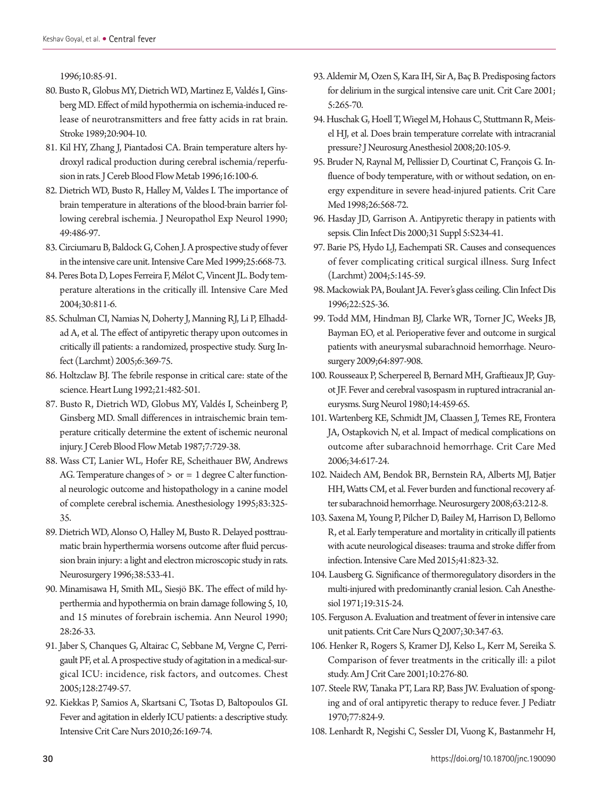[1996;10:85-91](https://doi.org/10.1016/S0891-5520(05)70287-7).

- <span id="page-11-0"></span>80. Busto R, Globus M[Y, Dietrich WD, Martinez E, Valdés I, Gins](https://doi.org/10.1161/01.STR.20.7.904)[berg MD. Effect of mild hypothermia on ischemia-induced re](https://doi.org/10.1161/01.STR.20.7.904)[lease of neurotransmitters and free fatty acids in rat brain.](https://doi.org/10.1161/01.STR.20.7.904)  [Stroke 1989;20:904-10.](https://doi.org/10.1161/01.STR.20.7.904)
- <span id="page-11-1"></span>81. [Kil HY, Zhang J, Piantadosi CA. Brain temperature alters hy](https://doi.org/10.1097/00004647-199601000-00012)[droxyl radical production during cerebral ischemia/reperfu](https://doi.org/10.1097/00004647-199601000-00012)[sion in rats. J Cereb Blood Flow Metab 1996;16:100-6.](https://doi.org/10.1097/00004647-199601000-00012)
- <span id="page-11-2"></span>82. [Dietrich WD, Busto R, Halley M, Valdes I. The importance of](https://doi.org/10.1097/00005072-199009000-00004) [brain temperature in alterations of the blood-brain barrier fol](https://doi.org/10.1097/00005072-199009000-00004)[lowing cerebral ischemia. J Neuropathol Exp Neurol 1990;](https://doi.org/10.1097/00005072-199009000-00004) [49:486-97.](https://doi.org/10.1097/00005072-199009000-00004)
- <span id="page-11-3"></span>83. C[irciumaru B, Baldock G, Cohen J. A prospective study of fever](https://doi.org/10.1007/s001340050928) [in the intensive care unit. Intensive Care Med 1999;25:668-73.](https://doi.org/10.1007/s001340050928)
- 84. [Peres Bota D, Lopes Ferreira F, Mélot C, Vincent JL. Body tem](https://doi.org/10.1007/s00134-004-2166-z)[perature alterations in the critically ill. Intensive Care Med](https://doi.org/10.1007/s00134-004-2166-z) [2004;30:811-6.](https://doi.org/10.1007/s00134-004-2166-z)
- <span id="page-11-4"></span>8[5. Schulman CI, Namias N, Doherty J, Manning RJ, Li P, Elhadd](https://doi.org/10.1089/sur.2005.6.369)[ad A, et al. The effect of antipyretic therapy upon outcomes in](https://doi.org/10.1089/sur.2005.6.369)  [critically ill patients: a randomized, prospective study. Surg In](https://doi.org/10.1089/sur.2005.6.369)[fect \(Larchmt\) 2005;6:369-75.](https://doi.org/10.1089/sur.2005.6.369)
- <span id="page-11-5"></span>8[6. Holtzclaw BJ. The febrile response in critical care: state of the](https://www.ncbi.nlm.nih.gov/pubmed/1399668)  [science. Heart Lung 1992;21:482-501](https://www.ncbi.nlm.nih.gov/pubmed/1399668).
- 87. [Busto R, Dietrich WD, Globus MY, Valdés I, Scheinberg P,](https://doi.org/10.1038/jcbfm.1987.127)  [Ginsberg MD. Small differences in intraischemic brain tem](https://doi.org/10.1038/jcbfm.1987.127)[perature critically determine the extent of ischemic neuronal](https://doi.org/10.1038/jcbfm.1987.127)  [injury. J Cereb Blood Flow Metab 1987;7:729-38.](https://doi.org/10.1038/jcbfm.1987.127)
- 88. [Wass CT, Lanier WL, Hofer RE, Scheithauer BW, Andrews](https://doi.org/10.1097/00000542-199508000-00013) AG. Temperature changes of  $>$  or  $= 1$  degree C alter function[al neurologic outcome and histopathology in a canine model](https://doi.org/10.1097/00000542-199508000-00013)  [of complete cerebral ischemia. Anesthesiology 1995;83:325-](https://doi.org/10.1097/00000542-199508000-00013) [35.](https://doi.org/10.1097/00000542-199508000-00013)
- 8[9. Dietrich WD, Alonso O, Halley M, Busto R. Delayed posttrau](https://www.ncbi.nlm.nih.gov/pubmed/8837806)[matic brain hyperthermia worsens outcome after fluid percus](https://www.ncbi.nlm.nih.gov/pubmed/8837806)[sion brain injury: a light and electron microscopic study in rats.](https://www.ncbi.nlm.nih.gov/pubmed/8837806) [Neurosurgery 1996;38:533-41](https://www.ncbi.nlm.nih.gov/pubmed/8837806).
- <span id="page-11-8"></span>9[0. Minamisawa H, Smith ML, Siesjö BK. The effect of mild hy](https://doi.org/10.1002/ana.410280107)[perthermia and hypothermia on brain damage following 5, 10,](https://doi.org/10.1002/ana.410280107)  [and 15 minutes of forebrain ischemia. Ann Neurol 1990;](https://doi.org/10.1002/ana.410280107) [28:26-33.](https://doi.org/10.1002/ana.410280107)
- <span id="page-11-6"></span>9[1. Jaber S, Chanques G, Altairac C, Sebbane M, Vergne C, Perri](https://doi.org/10.1378/chest.128.4.2749)[gault PF, et al. A prospective study of agitation in a medical-sur](https://doi.org/10.1378/chest.128.4.2749)[gical ICU: incidence, risk factors, and outcomes. Chest](https://doi.org/10.1378/chest.128.4.2749) [2005;128:2749-57](https://doi.org/10.1378/chest.128.4.2749).
- <span id="page-11-7"></span>92. Kiekkas P, Samios A, Skartsani C, Tsotas D, Baltopoulos GI. Fever and agitation in elderly ICU patients: a descriptive study. Intensive Crit Care Nurs 2010;26:169-74.
- <span id="page-11-9"></span>93. [Aldemir M, Ozen S, Kara IH, Sir A, Baç B. Predisposing factors](https://doi.org/10.1186/cc1044)  [for delirium in the surgical intensive care unit. Crit Care 2001;](https://doi.org/10.1186/cc1044) [5:265-70.](https://doi.org/10.1186/cc1044)
- <span id="page-11-10"></span>9[4. Huschak G, Hoell T, Wiegel M, Hohaus C, Stuttmann R, Meis](https://doi.org/10.1097/ANA.0b013e31815f528c)[el HJ, et al. Does brain temperature correlate with intracranial](https://doi.org/10.1097/ANA.0b013e31815f528c)  [pressure? J Neurosurg Anesthesiol 2008;20:105-9.](https://doi.org/10.1097/ANA.0b013e31815f528c)
- <span id="page-11-11"></span>9[5. Bruder N, Raynal M, Pellissier D, Courtinat C, François G. In](https://doi.org/10.1097/00003246-199803000-00033)[fluence of body temperature, with or without sedation, on en](https://doi.org/10.1097/00003246-199803000-00033)[ergy expenditure in severe head-injured patients. Crit Care](https://doi.org/10.1097/00003246-199803000-00033)  [Med 1998;26:568-72](https://doi.org/10.1097/00003246-199803000-00033).
- <span id="page-11-12"></span>9[6. Hasday JD, Garrison A. Antipyretic therapy in patients with](https://doi.org/10.1086/317514)  [sepsis. Clin Infect Dis 2000;31 Suppl 5:S234-41](https://doi.org/10.1086/317514).
- <span id="page-11-13"></span>9[7. Barie PS, Hydo LJ, Eachempati SR. Causes and consequences](https://doi.org/10.1089/sur.2004.5.145)  [of fever complicating critical surgical illness. Surg Infect](https://doi.org/10.1089/sur.2004.5.145)  [\(Larchmt\) 2004;5:145-59](https://doi.org/10.1089/sur.2004.5.145).
- <span id="page-11-14"></span>9[8. Mackowiak PA, Boulant JA. Fever's glass ceiling. Clin Infect Dis](https://doi.org/10.1093/clinids/22.3.525)  [1996;22:525-36](https://doi.org/10.1093/clinids/22.3.525).
- <span id="page-11-15"></span>9[9. Todd MM, Hindman BJ, Clarke WR, Torner JC, Weeks JB,](https://doi.org/10.1227/01.NEU.0000341903.11527.2F)  [Bayman EO, et al. Perioperative fever and outcome in surgical](https://doi.org/10.1227/01.NEU.0000341903.11527.2F)  [patients with aneurysmal subarachnoid hemorrhage. Neuro](https://doi.org/10.1227/01.NEU.0000341903.11527.2F)[surgery 2009;64:897-908](https://doi.org/10.1227/01.NEU.0000341903.11527.2F).
- <span id="page-11-16"></span>10[0. Rousseaux P, Scherpereel B, Bernard MH, Graftieaux JP, Guy](https://www.ncbi.nlm.nih.gov/pubmed/7221858)[ot JF. Fever and cerebral vasospasm in ruptured intracranial an](https://www.ncbi.nlm.nih.gov/pubmed/7221858)[eurysms. Surg Neurol 1980;14:459-65](https://www.ncbi.nlm.nih.gov/pubmed/7221858).
- 101. [Wartenberg KE, Schmidt JM, Claassen J, Temes RE, Frontera](https://doi.org/10.1097/01.CCM.0000201903.46435.35)  [JA, Ostapkovich N, et al. Impact of medical complications on](https://doi.org/10.1097/01.CCM.0000201903.46435.35)  [outcome after subarachnoid hemorrhage. Crit Care Med](https://doi.org/10.1097/01.CCM.0000201903.46435.35)  [2006;34:617-24.](https://doi.org/10.1097/01.CCM.0000201903.46435.35)
- <span id="page-11-17"></span>10[2. Naidech AM, Bendok BR, Bernstein RA, Alberts MJ, Batjer](https://doi.org/10.1227/01.NEU.0000320453.61270.0F)  [HH, Watts CM, et al. Fever burden and functional recovery af](https://doi.org/10.1227/01.NEU.0000320453.61270.0F)[ter subarachnoid hemorrhage. Neurosurgery 2008;63:212-8](https://doi.org/10.1227/01.NEU.0000320453.61270.0F).
- <span id="page-11-18"></span>10[3. Saxena M, Young P, Pilcher D, Bailey M, Harrison D, Bellomo](https://doi.org/10.1007/s00134-015-3676-6)  [R, et al. Early temperature and mortality in critically ill patients](https://doi.org/10.1007/s00134-015-3676-6)  [with acute neurological diseases: trauma and stroke differ from](https://doi.org/10.1007/s00134-015-3676-6)  [infection. Intensive Care Med 2015;41:823-32.](https://doi.org/10.1007/s00134-015-3676-6)
- <span id="page-11-19"></span>10[4. Lausberg G. Significance of thermoregulatory disorders in the](https://www.ncbi.nlm.nih.gov/pubmed/5110184)  [multi-injured with predominantly cranial lesion. Cah Anesthe](https://www.ncbi.nlm.nih.gov/pubmed/5110184)[siol 1971;19:315-24](https://www.ncbi.nlm.nih.gov/pubmed/5110184).
- <span id="page-11-20"></span>10[5. Ferguson A. Evaluation and treatment of fever in intensive care](https://doi.org/10.1097/01.CNQ.0000290368.54998.cd)  [unit patients. Crit Care Nurs Q 2007;30:347-63](https://doi.org/10.1097/01.CNQ.0000290368.54998.cd).
- <span id="page-11-21"></span>10[6. Henker R, Rogers S, Kramer DJ, Kelso L, Kerr M, Sereika S.](https://doi.org/10.4037/ajcc2001.10.4.276)  [Comparison of fever treatments in the critically ill: a pilot](https://doi.org/10.4037/ajcc2001.10.4.276)  [study. Am J Crit Care 2001;10:276-80.](https://doi.org/10.4037/ajcc2001.10.4.276)
- <span id="page-11-22"></span>10[7. Steele RW, Tanaka PT, Lara RP, Bass JW. Evaluation of spong](https://doi.org/10.1016/S0022-3476(70)80242-6)[ing and of oral antipyretic therapy to reduce fever. J Pediatr](https://doi.org/10.1016/S0022-3476(70)80242-6)  [1970;77:824-9.](https://doi.org/10.1016/S0022-3476(70)80242-6)
- <span id="page-11-23"></span>10[8. Lenhardt R, Negishi C, Sessler DI, Vuong K, Bastanmehr H,](https://doi.org/10.1016/S0002-9343(99)00068-6)